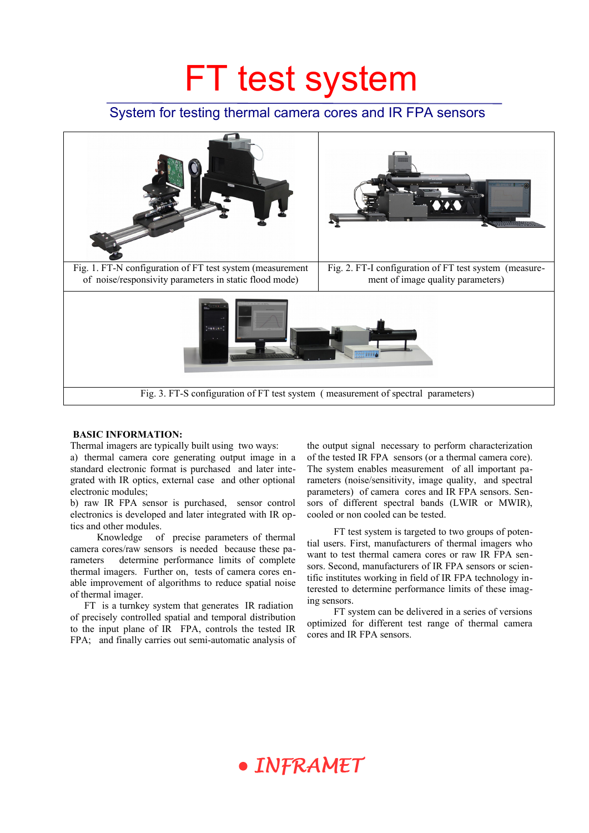## FT test system

### System for testing thermal camera cores and IR FPA sensors



#### **BASIC INFORMATION:**

Thermal imagers are typically built using two ways: a) thermal camera core generating output image in a standard electronic format is purchased and later integrated with IR optics, external case and other optional electronic modules;

b) raw IR FPA sensor is purchased, sensor control electronics is developed and later integrated with IR optics and other modules.

Knowledge of precise parameters of thermal camera cores/raw sensors is needed because these parameters determine performance limits of complete thermal imagers. Further on, tests of camera cores enable improvement of algorithms to reduce spatial noise of thermal imager.

FT is a turnkey system that generates IR radiation of precisely controlled spatial and temporal distribution to the input plane of IR FPA, controls the tested IR FPA; and finally carries out semi-automatic analysis of the output signal necessary to perform characterization of the tested IR FPA sensors (or a thermal camera core). The system enables measurement of all important parameters (noise/sensitivity, image quality, and spectral parameters) of camera cores and IR FPA sensors. Sensors of different spectral bands (LWIR or MWIR), cooled or non cooled can be tested.

FT test system is targeted to two groups of potential users. First, manufacturers of thermal imagers who want to test thermal camera cores or raw IR FPA sensors. Second, manufacturers of IR FPA sensors or scientific institutes working in field of IR FPA technology interested to determine performance limits of these imaging sensors.

FT system can be delivered in a series of versions optimized for different test range of thermal camera cores and IR FPA sensors.

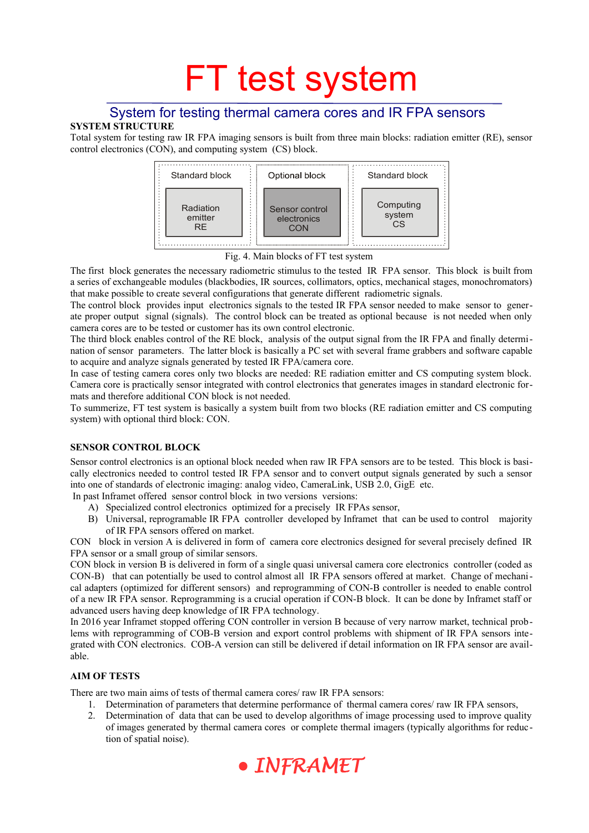# FT test system

### System for testing thermal camera cores and IR FPA sensors

#### **SYSTEM STRUCTURE**

Total system for testing raw IR FPA imaging sensors is built from three main blocks: radiation emitter (RE), sensor control electronics (CON), and computing system (CS) block.



Fig. 4. Main blocks of FT test system

The first block generates the necessary radiometric stimulus to the tested IR FPA sensor. This block is built from a series of exchangeable modules (blackbodies, IR sources, collimators, optics, mechanical stages, monochromators) that make possible to create several configurations that generate different radiometric signals.

The control block provides input electronics signals to the tested IR FPA sensor needed to make sensor to generate proper output signal (signals). The control block can be treated as optional because is not needed when only camera cores are to be tested or customer has its own control electronic.

The third block enables control of the RE block, analysis of the output signal from the IR FPA and finally determination of sensor parameters. The latter block is basically a PC set with several frame grabbers and software capable to acquire and analyze signals generated by tested IR FPA/camera core.

In case of testing camera cores only two blocks are needed: RE radiation emitter and CS computing system block. Camera core is practically sensor integrated with control electronics that generates images in standard electronic formats and therefore additional CON block is not needed.

To summerize, FT test system is basically a system built from two blocks (RE radiation emitter and CS computing system) with optional third block: CON.

#### **SENSOR CONTROL BLOCK**

Sensor control electronics is an optional block needed when raw IR FPA sensors are to be tested. This block is basically electronics needed to control tested IR FPA sensor and to convert output signals generated by such a sensor into one of standards of electronic imaging: analog video, CameraLink, USB 2.0, GigE etc.

In past Inframet offered sensor control block in two versions versions:

- A) Specialized control electronics optimized for a precisely IR FPAs sensor,
- B) Universal, reprogramable IR FPA controller developed by Inframet that can be used to control majority of IR FPA sensors offered on market.

CON block in version A is delivered in form of camera core electronics designed for several precisely defined IR FPA sensor or a small group of similar sensors.

CON block in version B is delivered in form of a single quasi universal camera core electronics controller (coded as CON-B) that can potentially be used to control almost all IR FPA sensors offered at market. Change of mechanical adapters (optimized for different sensors) and reprogramming of CON-B controller is needed to enable control of a new IR FPA sensor. Reprogramming is a crucial operation if CON-B block. It can be done by Inframet staff or advanced users having deep knowledge of IR FPA technology.

In 2016 year Inframet stopped offering CON controller in version B because of very narrow market, technical problems with reprogramming of COB-B version and export control problems with shipment of IR FPA sensors integrated with CON electronics. COB-A version can still be delivered if detail information on IR FPA sensor are available.

#### **AIM OF TESTS**

There are two main aims of tests of thermal camera cores/ raw IR FPA sensors:

- 1. Determination of parameters that determine performance of thermal camera cores/ raw IR FPA sensors,
- 2. Determination of data that can be used to develop algorithms of image processing used to improve quality of images generated by thermal camera cores or complete thermal imagers (typically algorithms for reduction of spatial noise).